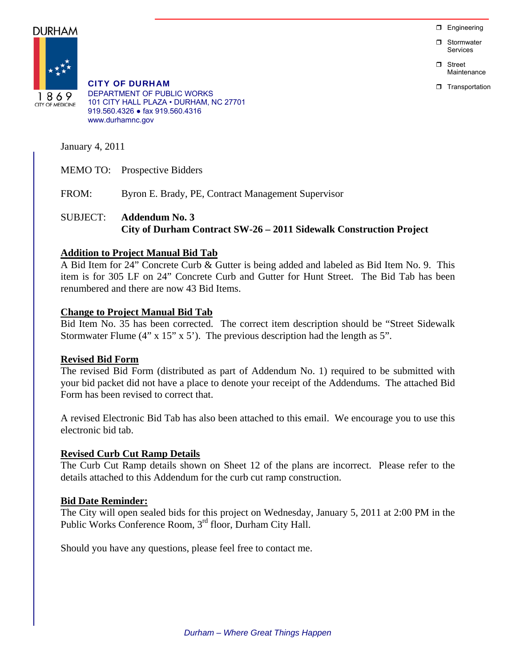$\Box$  Engineering

**D** Stormwater Services

n Street Maintenance

**T** Transportation



1869 **CITY OF MEDICINE**  CITY OF DURHAM DEPARTMENT OF PUBLIC WORKS 101 CITY HALL PLAZA • DURHAM, NC 27701 919.560.4326 ● fax 919.560.4316 www.durhamnc.gov

January 4, 2011

MEMO TO: Prospective Bidders

FROM: Byron E. Brady, PE, Contract Management Supervisor

# SUBJECT: **Addendum No. 3 City of Durham Contract SW-26 – 2011 Sidewalk Construction Project**

# **Addition to Project Manual Bid Tab**

A Bid Item for 24" Concrete Curb & Gutter is being added and labeled as Bid Item No. 9. This item is for 305 LF on 24" Concrete Curb and Gutter for Hunt Street. The Bid Tab has been renumbered and there are now 43 Bid Items.

# **Change to Project Manual Bid Tab**

Bid Item No. 35 has been corrected. The correct item description should be "Street Sidewalk Stormwater Flume  $(4" \times 15" \times 5')$ . The previous description had the length as 5".

# **Revised Bid Form**

The revised Bid Form (distributed as part of Addendum No. 1) required to be submitted with your bid packet did not have a place to denote your receipt of the Addendums. The attached Bid Form has been revised to correct that.

A revised Electronic Bid Tab has also been attached to this email. We encourage you to use this electronic bid tab.

# **Revised Curb Cut Ramp Details**

The Curb Cut Ramp details shown on Sheet 12 of the plans are incorrect. Please refer to the details attached to this Addendum for the curb cut ramp construction.

# **Bid Date Reminder:**

The City will open sealed bids for this project on Wednesday, January 5, 2011 at 2:00 PM in the Public Works Conference Room, 3rd floor, Durham City Hall.

Should you have any questions, please feel free to contact me.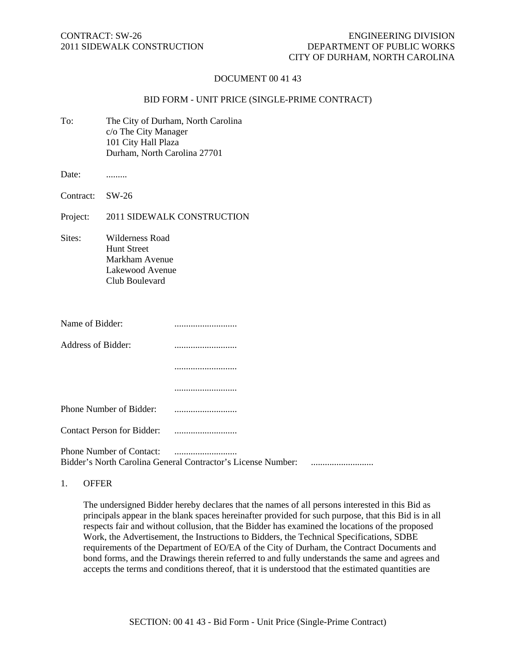## DOCUMENT 00 41 43

### BID FORM - UNIT PRICE (SINGLE-PRIME CONTRACT)

To: The City of Durham, North Carolina c/o The City Manager 101 City Hall Plaza Durham, North Carolina 27701

Date: .........

Contract: SW-26

Project: 2011 SIDEWALK CONSTRUCTION

Sites: Wilderness Road Hunt Street Markham Avenue Lakewood Avenue Club Boulevard

| Name of Bidder:                   |                                                              |  |
|-----------------------------------|--------------------------------------------------------------|--|
| Address of Bidder:                |                                                              |  |
|                                   |                                                              |  |
|                                   |                                                              |  |
| Phone Number of Bidder:           |                                                              |  |
| <b>Contact Person for Bidder:</b> |                                                              |  |
| <b>Phone Number of Contact:</b>   | Bidder's North Carolina General Contractor's License Number: |  |

1. OFFER

The undersigned Bidder hereby declares that the names of all persons interested in this Bid as principals appear in the blank spaces hereinafter provided for such purpose, that this Bid is in all respects fair and without collusion, that the Bidder has examined the locations of the proposed Work, the Advertisement, the Instructions to Bidders, the Technical Specifications, SDBE requirements of the Department of EO/EA of the City of Durham, the Contract Documents and bond forms, and the Drawings therein referred to and fully understands the same and agrees and accepts the terms and conditions thereof, that it is understood that the estimated quantities are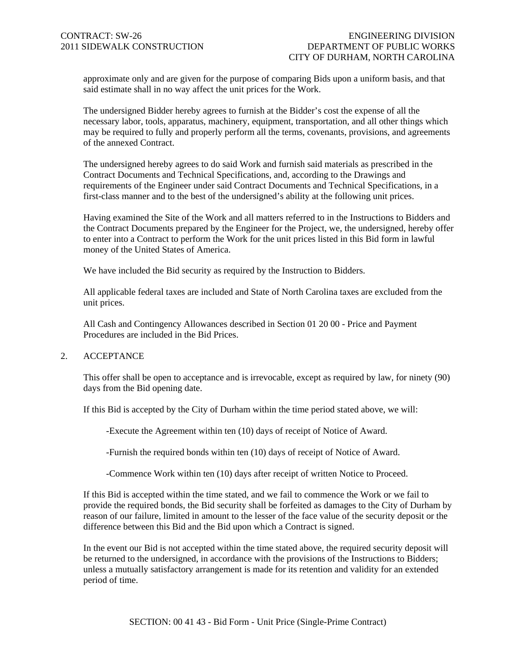approximate only and are given for the purpose of comparing Bids upon a uniform basis, and that said estimate shall in no way affect the unit prices for the Work.

The undersigned Bidder hereby agrees to furnish at the Bidder's cost the expense of all the necessary labor, tools, apparatus, machinery, equipment, transportation, and all other things which may be required to fully and properly perform all the terms, covenants, provisions, and agreements of the annexed Contract.

The undersigned hereby agrees to do said Work and furnish said materials as prescribed in the Contract Documents and Technical Specifications, and, according to the Drawings and requirements of the Engineer under said Contract Documents and Technical Specifications, in a first-class manner and to the best of the undersigned's ability at the following unit prices.

Having examined the Site of the Work and all matters referred to in the Instructions to Bidders and the Contract Documents prepared by the Engineer for the Project, we, the undersigned, hereby offer to enter into a Contract to perform the Work for the unit prices listed in this Bid form in lawful money of the United States of America.

We have included the Bid security as required by the Instruction to Bidders.

All applicable federal taxes are included and State of North Carolina taxes are excluded from the unit prices.

All Cash and Contingency Allowances described in Section 01 20 00 - Price and Payment Procedures are included in the Bid Prices.

#### 2. ACCEPTANCE

This offer shall be open to acceptance and is irrevocable, except as required by law, for ninety (90) days from the Bid opening date.

If this Bid is accepted by the City of Durham within the time period stated above, we will:

-Execute the Agreement within ten (10) days of receipt of Notice of Award.

-Furnish the required bonds within ten (10) days of receipt of Notice of Award.

-Commence Work within ten (10) days after receipt of written Notice to Proceed.

If this Bid is accepted within the time stated, and we fail to commence the Work or we fail to provide the required bonds, the Bid security shall be forfeited as damages to the City of Durham by reason of our failure, limited in amount to the lesser of the face value of the security deposit or the difference between this Bid and the Bid upon which a Contract is signed.

In the event our Bid is not accepted within the time stated above, the required security deposit will be returned to the undersigned, in accordance with the provisions of the Instructions to Bidders; unless a mutually satisfactory arrangement is made for its retention and validity for an extended period of time.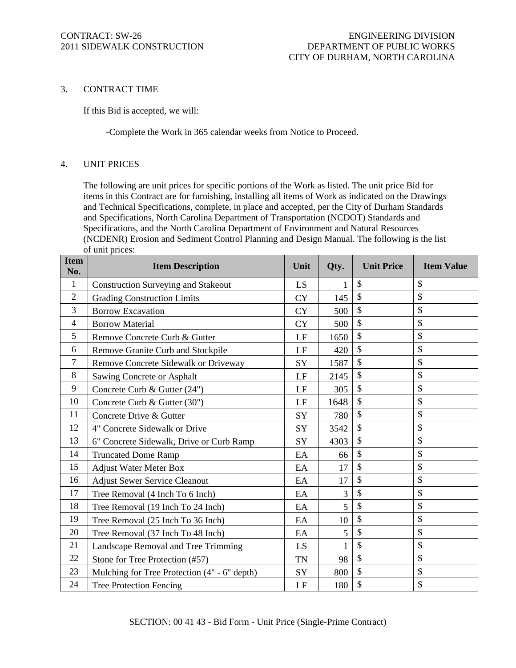### 3. CONTRACT TIME

If this Bid is accepted, we will:

-Complete the Work in 365 calendar weeks from Notice to Proceed.

## 4. UNIT PRICES

The following are unit prices for specific portions of the Work as listed. The unit price Bid for items in this Contract are for furnishing, installing all items of Work as indicated on the Drawings and Technical Specifications, complete, in place and accepted, per the City of Durham Standards and Specifications, North Carolina Department of Transportation (NCDOT) Standards and Specifications, and the North Carolina Department of Environment and Natural Resources (NCDENR) Erosion and Sediment Control Planning and Design Manual. The following is the list of unit prices:

| <b>Item</b><br>No. | <b>Item Description</b>                      | Unit      | Qty.         | <b>Unit Price</b>         | <b>Item Value</b>         |
|--------------------|----------------------------------------------|-----------|--------------|---------------------------|---------------------------|
| $\mathbf{1}$       | <b>Construction Surveying and Stakeout</b>   | <b>LS</b> |              | $\mathcal{S}$             | $\mathcal{S}$             |
| $\overline{2}$     | <b>Grading Construction Limits</b>           | <b>CY</b> | 145          | $\mathcal{S}$             | \$                        |
| 3                  | <b>Borrow Excavation</b>                     | <b>CY</b> | 500          | $\mathcal{S}$             | $\mathcal{S}$             |
| $\overline{4}$     | <b>Borrow Material</b>                       | <b>CY</b> | 500          | $\mathcal{S}$             | $\boldsymbol{\mathsf{S}}$ |
| 5                  | Remove Concrete Curb & Gutter                | LF        | 1650         | $\boldsymbol{\mathsf{S}}$ | \$                        |
| 6                  | Remove Granite Curb and Stockpile            | LF        | 420          | $\mathcal{S}$             | \$                        |
| $\overline{7}$     | Remove Concrete Sidewalk or Driveway         | SY        | 1587         | $\mathcal{S}$             | $\mathcal{S}$             |
| 8                  | Sawing Concrete or Asphalt                   | LF        | 2145         | $\mathcal{S}$             | $\mathcal{S}$             |
| 9                  | Concrete Curb & Gutter (24")                 | LF        | 305          | $\mathcal{S}$             | $\mathcal{S}$             |
| 10                 | Concrete Curb & Gutter (30")                 | LF        | 1648         | $\mathcal{S}$             | \$                        |
| 11                 | Concrete Drive & Gutter                      | SY        | 780          | $\mathcal{S}$             | $\mathcal{S}$             |
| 12                 | 4" Concrete Sidewalk or Drive                | SY        | 3542         | $\mathcal{S}$             | $\mathcal{S}$             |
| 13                 | 6" Concrete Sidewalk, Drive or Curb Ramp     | SY        | 4303         | $\mathcal{S}$             | $\boldsymbol{\mathsf{S}}$ |
| 14                 | <b>Truncated Dome Ramp</b>                   | EA        | 66           | $\mathcal{S}$             | $\boldsymbol{\mathsf{S}}$ |
| 15                 | <b>Adjust Water Meter Box</b>                | EA        | 17           | \$                        | \$                        |
| 16                 | <b>Adjust Sewer Service Cleanout</b>         | EA        | 17           | $\mathcal{S}$             | $\mathcal{S}$             |
| 17                 | Tree Removal (4 Inch To 6 Inch)              | EA        | 3            | $\mathcal{S}$             | $\mathcal{S}$             |
| 18                 | Tree Removal (19 Inch To 24 Inch)            | EA        | 5            | $\mathcal{S}$             | $\mathcal{S}$             |
| 19                 | Tree Removal (25 Inch To 36 Inch)            | EA        | 10           | $\mathcal{S}$             | $\mathcal{S}$             |
| 20                 | Tree Removal (37 Inch To 48 Inch)            | EA        | 5            | $\mathcal{S}$             | $\mathcal{S}$             |
| 21                 | Landscape Removal and Tree Trimming          | LS        | $\mathbf{1}$ | $\mathcal{S}$             | $\mathcal{S}$             |
| 22                 | Stone for Tree Protection (#57)              | <b>TN</b> | 98           | $\mathcal{S}$             | $\mathcal{S}$             |
| 23                 | Mulching for Tree Protection (4" - 6" depth) | SY        | 800          | $\mathcal{S}$             | $\boldsymbol{\mathsf{S}}$ |
| 24                 | <b>Tree Protection Fencing</b>               | LF        | 180          | $\mathcal{S}$             | \$                        |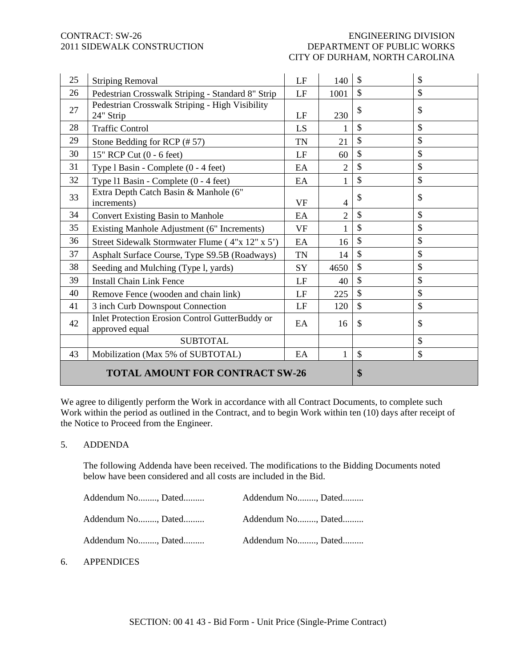# CONTRACT: SW-26 ENGINEERING DIVISION 2011 SIDEWALK CONSTRUCTION DEPARTMENT OF PUBLIC WORKS CITY OF DURHAM, NORTH CAROLINA

| 25 | <b>Striping Removal</b>                                           | LF        | 140            | $\mathcal{S}$ | $\boldsymbol{\mathsf{S}}$ |
|----|-------------------------------------------------------------------|-----------|----------------|---------------|---------------------------|
| 26 | Pedestrian Crosswalk Striping - Standard 8" Strip                 | LF        | 1001           | \$            | \$                        |
| 27 | Pedestrian Crosswalk Striping - High Visibility<br>24" Strip      | LF        | 230            | \$            | $\mathcal{S}$             |
| 28 | <b>Traffic Control</b>                                            | LS        | 1              | $\mathcal{S}$ | \$                        |
| 29 | Stone Bedding for RCP (#57)                                       | <b>TN</b> | 21             | \$            | \$                        |
| 30 | 15" RCP Cut (0 - 6 feet)                                          | LF        | 60             | $\mathbb{S}$  | \$                        |
| 31 | Type 1 Basin - Complete (0 - 4 feet)                              | EA        | $\overline{2}$ | \$            | \$                        |
| 32 | Type 11 Basin - Complete (0 - 4 feet)                             | EA        |                | \$            | \$                        |
| 33 | Extra Depth Catch Basin & Manhole (6"<br>increments)              | <b>VF</b> | $\overline{4}$ | \$            | \$                        |
| 34 | <b>Convert Existing Basin to Manhole</b>                          | EA        | $\overline{2}$ | \$            | \$                        |
| 35 | Existing Manhole Adjustment (6" Increments)                       | <b>VF</b> |                | \$            | \$                        |
| 36 | Street Sidewalk Stormwater Flume (4"x 12" x 5")                   | EA        | 16             | $\mathcal{S}$ | \$                        |
| 37 | Asphalt Surface Course, Type S9.5B (Roadways)                     | TN        | 14             | \$            | \$                        |
| 38 | Seeding and Mulching (Type l, yards)                              | SY        | 4650           | $\mathbb{S}$  | \$                        |
| 39 | <b>Install Chain Link Fence</b>                                   | LF        | 40             | $\mathcal{S}$ | \$                        |
| 40 | Remove Fence (wooden and chain link)                              | LF        | 225            | $\mathbb{S}$  | \$                        |
| 41 | 3 inch Curb Downspout Connection                                  | LF        | 120            | \$            | \$                        |
| 42 | Inlet Protection Erosion Control GutterBuddy or<br>approved equal | EA        | 16             | $\mathcal{S}$ | \$                        |
|    | <b>SUBTOTAL</b>                                                   |           |                |               | $\boldsymbol{\mathsf{S}}$ |
| 43 | Mobilization (Max 5% of SUBTOTAL)                                 | EA        | 1              | $\mathbb{S}$  | \$                        |
|    | <b>TOTAL AMOUNT FOR CONTRACT SW-26</b>                            |           |                | \$            |                           |

We agree to diligently perform the Work in accordance with all Contract Documents, to complete such Work within the period as outlined in the Contract, and to begin Work within ten (10) days after receipt of the Notice to Proceed from the Engineer.

## 5. ADDENDA

The following Addenda have been received. The modifications to the Bidding Documents noted below have been considered and all costs are included in the Bid.

| Addendum No, Dated | Addendum No, Dated |  |
|--------------------|--------------------|--|
| Addendum No, Dated | Addendum No, Dated |  |
| Addendum No, Dated | Addendum No, Dated |  |

# 6. APPENDICES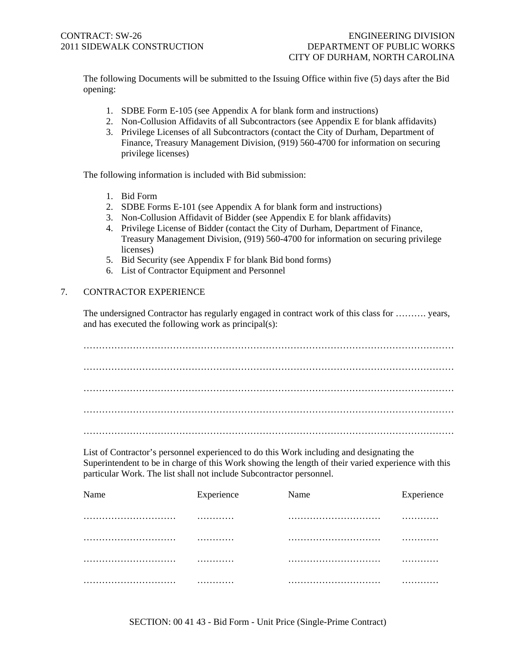The following Documents will be submitted to the Issuing Office within five (5) days after the Bid opening:

- 1. SDBE Form E-105 (see Appendix A for blank form and instructions)
- 2. Non-Collusion Affidavits of all Subcontractors (see Appendix E for blank affidavits)
- 3. Privilege Licenses of all Subcontractors (contact the City of Durham, Department of Finance, Treasury Management Division, (919) 560-4700 for information on securing privilege licenses)

The following information is included with Bid submission:

- 1. Bid Form
- 2. SDBE Forms E-101 (see Appendix A for blank form and instructions)
- 3. Non-Collusion Affidavit of Bidder (see Appendix E for blank affidavits)
- 4. Privilege License of Bidder (contact the City of Durham, Department of Finance, Treasury Management Division, (919) 560-4700 for information on securing privilege licenses)
- 5. Bid Security (see Appendix F for blank Bid bond forms)
- 6. List of Contractor Equipment and Personnel

# 7. CONTRACTOR EXPERIENCE

The undersigned Contractor has regularly engaged in contract work of this class for ………. years, and has executed the following work as principal(s):

………………………………………………………………………………………………………… . The contract of the contract of the contract of the contract of the contract of the contract of the contract of the contract of the contract of the contract of the contract of the contract of the contract of the contrac ………………………………………………………………………………………………………… …………………………………………………………………………………………………………

List of Contractor's personnel experienced to do this Work including and designating the Superintendent to be in charge of this Work showing the length of their varied experience with this particular Work. The list shall not include Subcontractor personnel.

| Name | Experience | Name | Experience |
|------|------------|------|------------|
|      | .          |      | .          |
|      | .          |      | .          |
|      | .          |      | .          |
|      | .          |      | .          |

SECTION: 00 41 43 - Bid Form - Unit Price (Single-Prime Contract)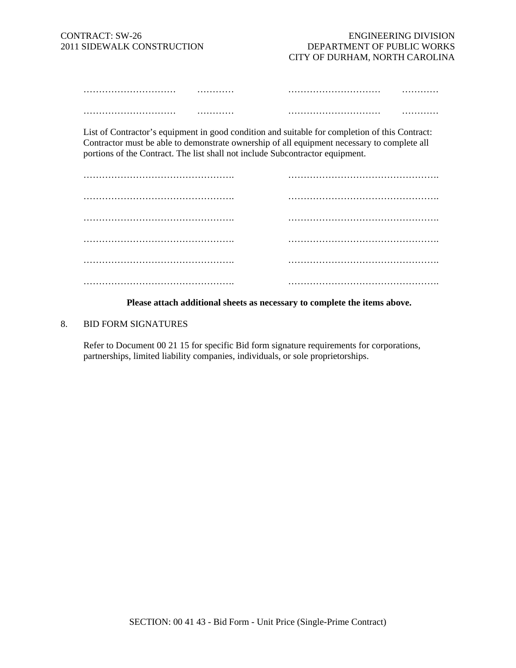| . | . |
|---|---|
|   |   |
| . | . |

List of Contractor's equipment in good condition and suitable for completion of this Contract: Contractor must be able to demonstrate ownership of all equipment necessary to complete all portions of the Contract. The list shall not include Subcontractor equipment.

### **Please attach additional sheets as necessary to complete the items above.**

#### 8. BID FORM SIGNATURES

Refer to Document 00 21 15 for specific Bid form signature requirements for corporations, partnerships, limited liability companies, individuals, or sole proprietorships.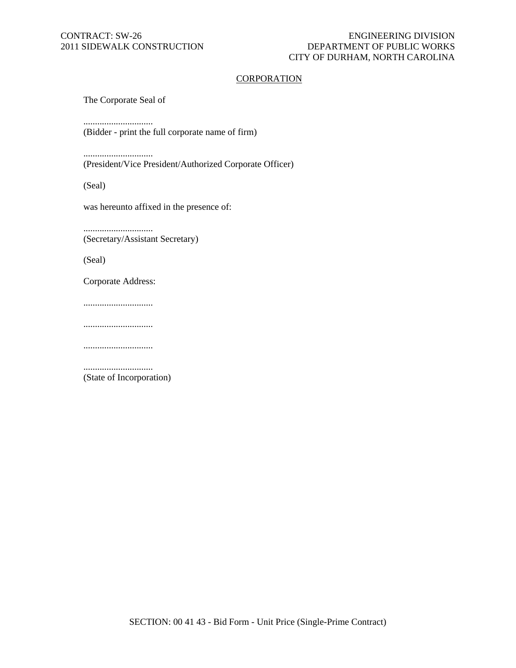## CONTRACT: SW-26 ENGINEERING DIVISION<br>2011 SIDEWALK CONSTRUCTION DEPARTMENT OF PUBLIC WORKS DEPARTMENT OF PUBLIC WORKS CITY OF DURHAM, NORTH CAROLINA

## **CORPORATION**

The Corporate Seal of

..............................

(Bidder - print the full corporate name of firm)

..............................

(President/Vice President/Authorized Corporate Officer)

(Seal)

was hereunto affixed in the presence of:

.............................. (Secretary/Assistant Secretary)

(Seal)

Corporate Address:

..............................

..............................

..............................

.............................. (State of Incorporation)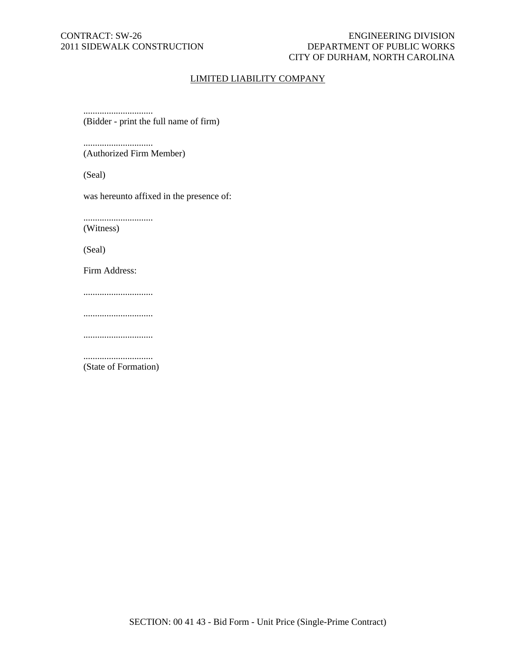## CONTRACT: SW-26 ENGINEERING DIVISION 2011 SIDEWALK CONSTRUCTION DEPARTMENT OF PUBLIC WORKS CITY OF DURHAM, NORTH CAROLINA

# LIMITED LIABILITY COMPANY

.............................. (Bidder - print the full name of firm)

.............................. (Authorized Firm Member)

(Seal)

was hereunto affixed in the presence of:

.............................. (Witness)

(Seal)

Firm Address:

..............................

..............................

..............................

.............................. (State of Formation)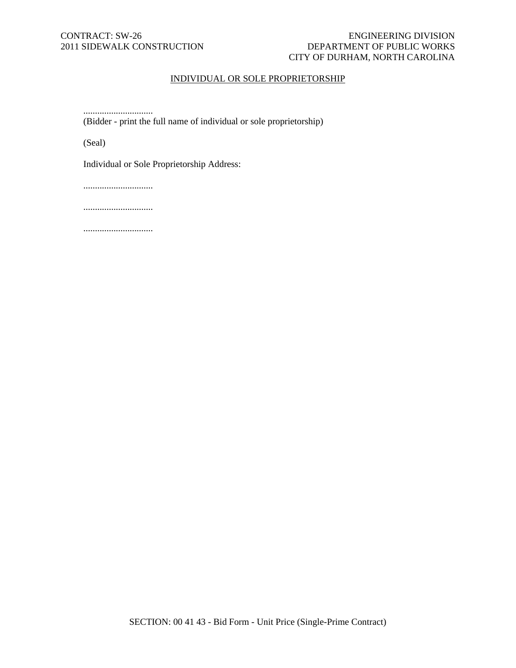## CONTRACT: SW-26 ENGINEERING DIVISION 2011 SIDEWALK CONSTRUCTION DEPARTMENT OF PUBLIC WORKS CITY OF DURHAM, NORTH CAROLINA

# INDIVIDUAL OR SOLE PROPRIETORSHIP

.............................. (Bidder - print the full name of individual or sole proprietorship)

(Seal)

Individual or Sole Proprietorship Address:

..............................

..............................

..............................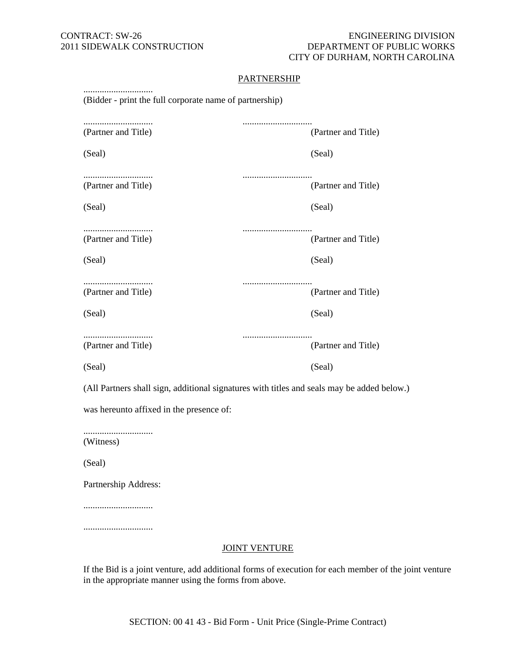### CONTRACT: SW-26 ENGINEERING DIVISION 2011 SIDEWALK CONSTRUCTION DEPARTMENT OF PUBLIC WORKS CITY OF DURHAM, NORTH CAROLINA

## **PARTNERSHIP**

| (Bidder - print the full corporate name of partnership) |                         |
|---------------------------------------------------------|-------------------------|
| (Partner and Title)                                     | <br>(Partner and Title) |
| (Seal)                                                  | (Seal)                  |
| (Partner and Title)                                     | <br>(Partner and Title) |
| (Seal)                                                  | (Seal)                  |
| (Partner and Title)                                     | (Partner and Title)     |
| (Seal)                                                  | (Seal)                  |
| (Partner and Title)                                     | (Partner and Title)     |
| (Seal)                                                  | (Seal)                  |
| (Partner and Title)                                     | (Partner and Title)     |
| (Seal)                                                  | (Seal)                  |

(All Partners shall sign, additional signatures with titles and seals may be added below.)

was hereunto affixed in the presence of:

.............................. (Witness)

(Seal)

Partnership Address:

..............................

..............................

#### JOINT VENTURE

If the Bid is a joint venture, add additional forms of execution for each member of the joint venture in the appropriate manner using the forms from above.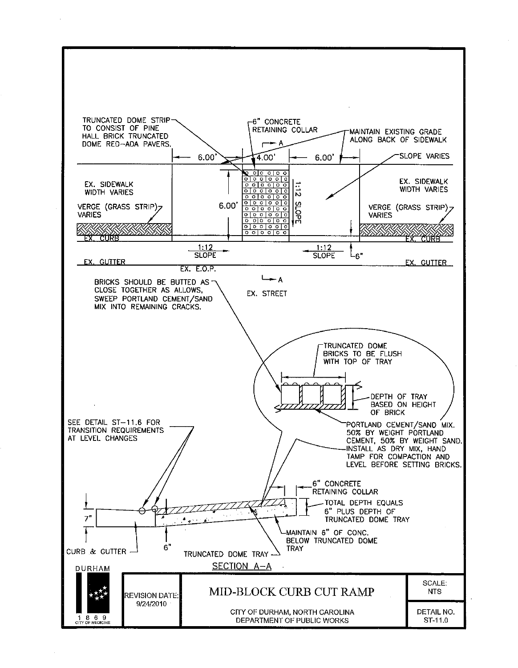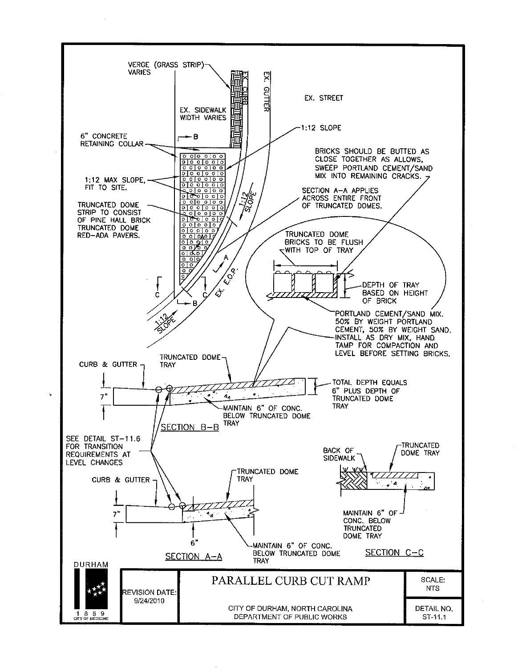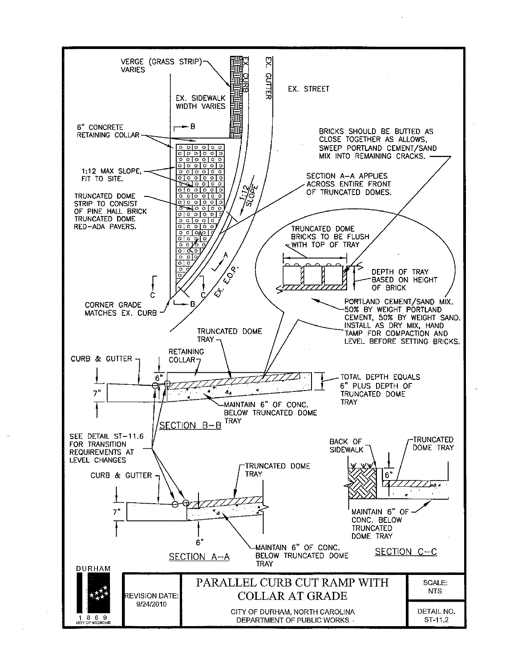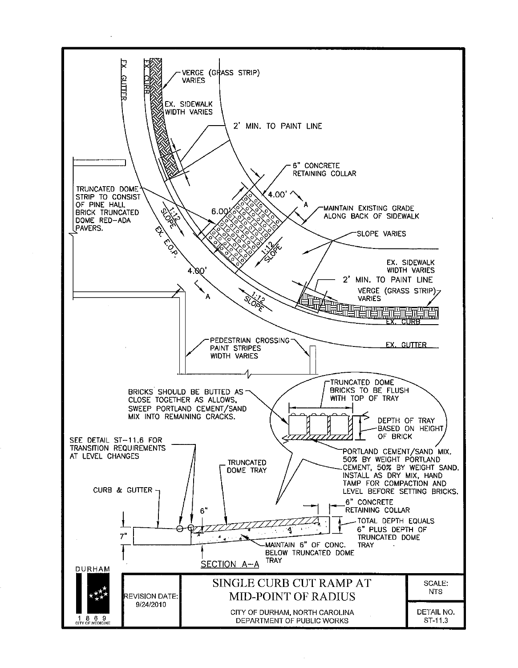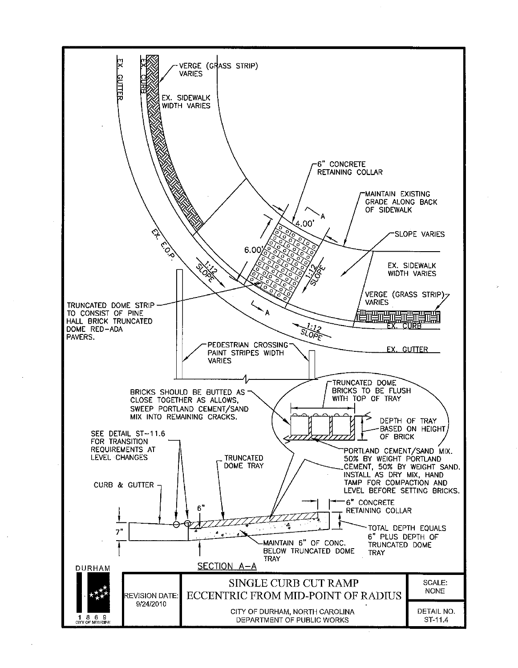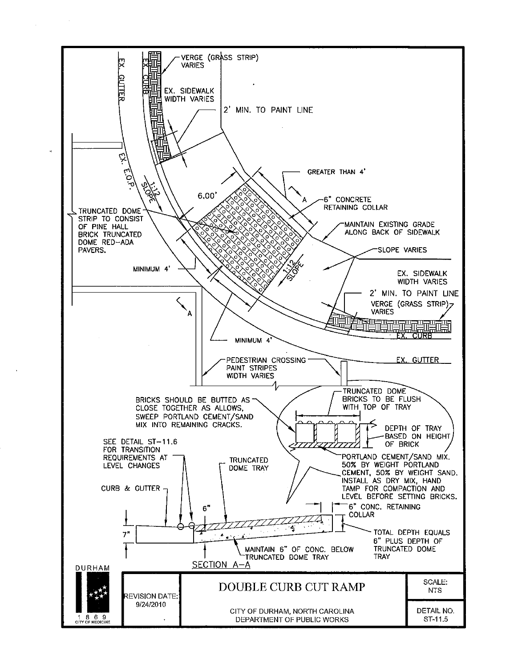